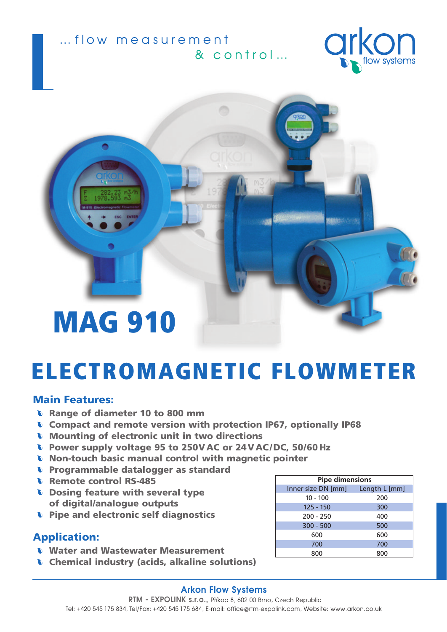... flow measurement & control...





# ELECTROMAGNETIC FLOWMETER

### Main Features:

- **L** Range of diameter 10 to 800 mm
- Compact and remote version with protection IP67, optionally IP68
- Mounting of electronic unit in two directions
- **D** Power supply voltage 95 to 250V AC or 24 V AC/DC, 50/60 Hz
- **Non-touch basic manual control with magnetic pointer**
- **D** Programmable datalogger as standard
- **b** Remote control RS-485
- Dosing feature with several type of digital/analogue outputs
- **D** Pipe and electronic self diagnostics

### Application:

- **Water and Wastewater Measurement**
- **Chemical industry (acids, alkaline solutions)**

| <b>Pipe dimensions</b>           |     |
|----------------------------------|-----|
| Inner size DN [mm] Length L [mm] |     |
| $10 - 100$                       | 200 |
| $125 - 150$                      | 300 |
| $200 - 250$                      | 400 |
| $300 - 500$                      | 500 |
| 600                              | 600 |
| 700                              | 700 |
| 800                              | 800 |

#### **Arkon Flow Systems**